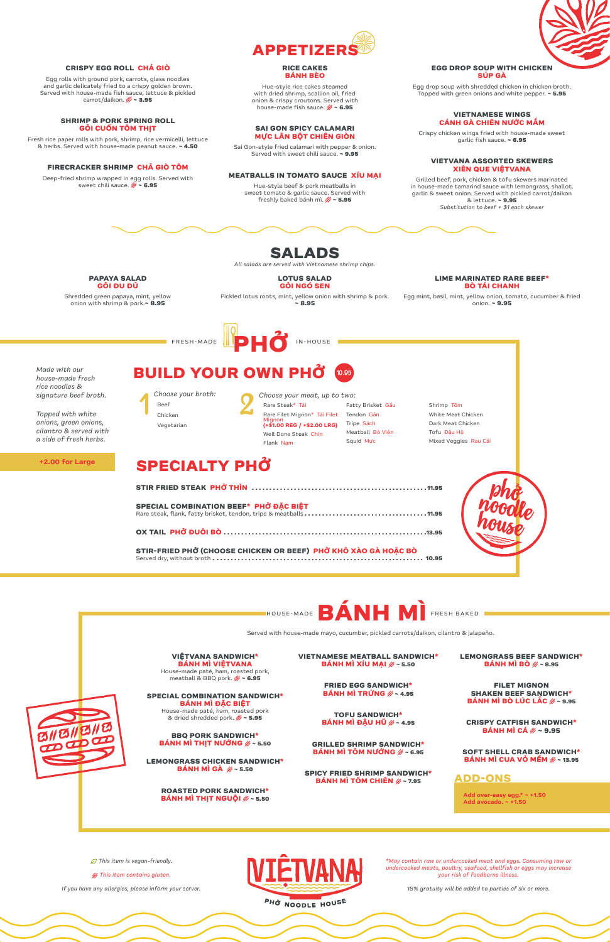*\*May contain raw or undercooked meat and eggs. Consuming raw or undercooked meats, poultry, seafood, shellfish or eggs may increase your risk of foodborne illness.*

**CRISPY EGG ROLL CHẢ GIÒ** Egg rolls with ground pork, carrots, glass noodles and garlic delicately fried to a crispy golden brown. Served with house-made fish sauce, lettuce & pickled  $carrot/da$ ikon.  $\cancel{\mathscr{G}} \sim 3.95$ 

*18% gratuity will be added to parties of six or more.*

*This item is vegan-friendly.*

*This item contains gluten.*

*If you have any allergies, please inform your server.*



**FIRECRACKER SHRIMP CHẢ GIÒ TÔM**  Deep-fried shrimp wrapped in egg rolls. Served with sweet chili sauce.  $\cancel{\mathscr{E}} \sim 6.95$ 

Hue-style rice cakes steamed with dried shrimp, scallion oil, fried onion & crispy croutons. Served with house-made fish sauce.  $\mathscr{E} \sim 6.95$ 

Hue-style beef & pork meatballs in sweet tomato & garlic sauce. Served with freshly baked bánh mì.  $\mathscr{E} \sim 5.95$ 

**SHRIMP & PORK SPRING ROLL GỎI CUỐN TÔM THỊT** Fresh rice paper rolls with pork, shrimp, rice vermicelli, lettuce & herbs. Served with house-made peanut sauce. **~ 4.50**

#### **RICE CAKES BÁNH BÈO**

#### **SAI GON SPICY CALAMARI MỰC LĂN BỘT CHIÊN GIÒN**

Sai Gon-style fried calamari with pepper & onion. Served with sweet chili sauce. **~ 9.95**

#### **MEATBALLS IN TOMATO SAUCE XÍU MẠI**

#### **EGG DROP SOUP WITH CHICKEN SÚP GÀ**

Egg drop soup with shredded chicken in chicken broth. Topped with green onions and white pepper. **~ 5.95**

#### **VIETNAMESE WINGS CÁNH GÀ CHIÊN NƯỚC MẮM**

Crispy chicken wings fried with house-made sweet garlic fish sauce. **~ 6.95**

**VIỆTVANA SANDWICH\* BÁNH MÌ VIỆTVANA** House-made paté, ham, roasted pork, meatball & BBQ pork.  $\cancel{\mathscr{E}} \sim 6.95$ 

#### **VIETVANA ASSORTED SKEWERS XIÊN QUE VIỆTVANA**

Grilled beef, pork, chicken & tofu skewers marinated in house-made tamarind sauce with lemongrass, shallot, garlic & sweet onion. Served with pickled carrot/daikon & lettuce. **~ 9.95** *Substitution to beef + \$1 each skewer*







**SPICY FRIED SHRIMP SANDWICH\* BÁNH MÌ TÔM CHIÊN**  $\mathscr{E}$  **~ 7.95** 

**SHAKEN BEEF SANDWICH\* BÁNH MÌ BÒ LÚC LĂC**  $\mathscr{B} \sim 9.95$ 

#### **SPECIAL COMBINATION SANDWICH\* BÁNH MÌ ĐẶC BIỆT**

House-made paté, ham, roasted pork & dried shredded pork. **~ 5.95**

#### **BBQ PORK SANDWICH\* BÁNH MÌ THỊT NƯỚNG ~ 5.50**

**LEMONGRASS CHICKEN SANDWICH\* BÁNH MÌ GÀ ~ 5.50**

#### **ROASTED PORK SANDWICH\* BÁNH MÌ THỊT NGUỘI ~ 5.50**

**BANH MI TRUNG**  $\mathscr{G} \sim 4.95$ 

**VIETNAMESE MEATBALL SANDWICH\* BÁNH MÌ XÍU MẠI ~ 5.50**

**FRIED EGG SANDWICH\***

**TOFU SANDWICH\* BÁNH MÌ ĐẬU HŨ ~ 4.95**

**GRILLED SHRIMP SANDWICH\* BÁNH MÌ TÔM NƯỚNG ~ 6.95** **LEMONGRASS BEEF SANDWICH\* BÁNH MÌ BÒ ~ 8.95**

**FILET MIGNON**



**CRISPY CATFISH SANDWICH\* BÁNH MÌ CÁ ~ 9.95**

**SOFT SHELL CRAB SANDWICH\* BÁNH MÌ CUA VỎ MỀM ~ 13.95**

Served with house-made mayo, cucumber, pickled carrots/daikon, cilantro & jalapeño.



**Add over-easy egg.\* ~ +1.50 Add avocado. ~ +1.50**

### **ADD-ONS**

**PAPAYA SALAD GỎI ĐU ĐỦ** 

Shredded green papaya, mint, yellow onion with shrimp & pork.**~ 8.95**

**GỎI NGÓ SEN**  Pickled lotus roots, mint, yellow onion with shrimp & pork. **~ 8.95**

**LIME MARINATED RARE BEEF\* BÒ TÁI CHANH**

**LOTUS SALAD** *All salads are served with Vietnamese shrimp chips.*

> Egg mint, basil, mint, yellow onion, tomato, cucumber & fried onion. **~ 9.95**

## **SALADS**